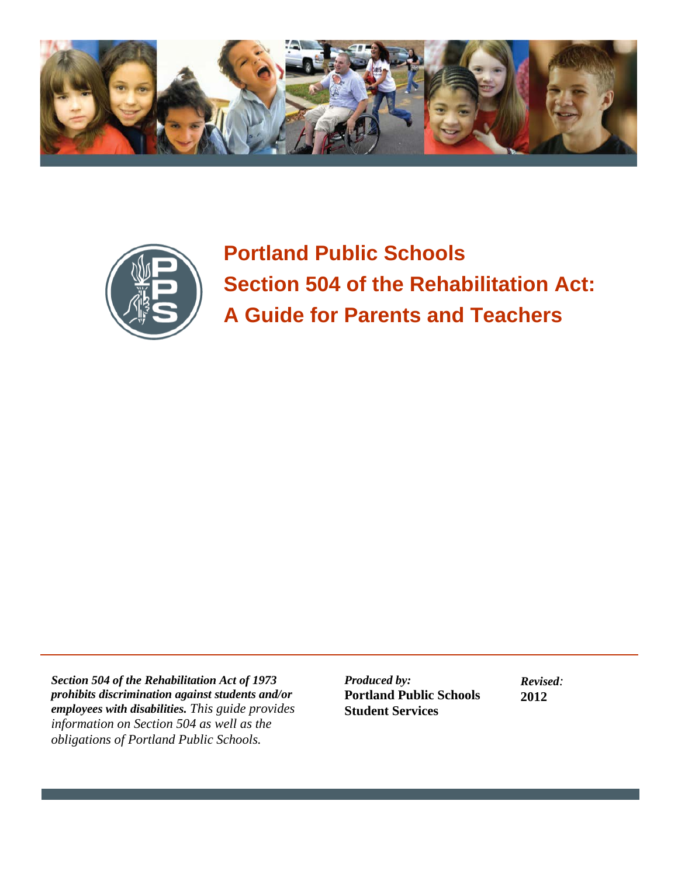



**Portland Public Schools Section 504 of the Rehabilitation Act: A Guide for Parents and Teachers**

*Section 504 of the Rehabilitation Act of 1973 prohibits discrimination against students and/or employees with disabilities. This guide provides information on Section 504 as well as the obligations of Portland Public Schools.*

*Produced by:* **Portland Public Schools Student Services**

*Revised:* **2012**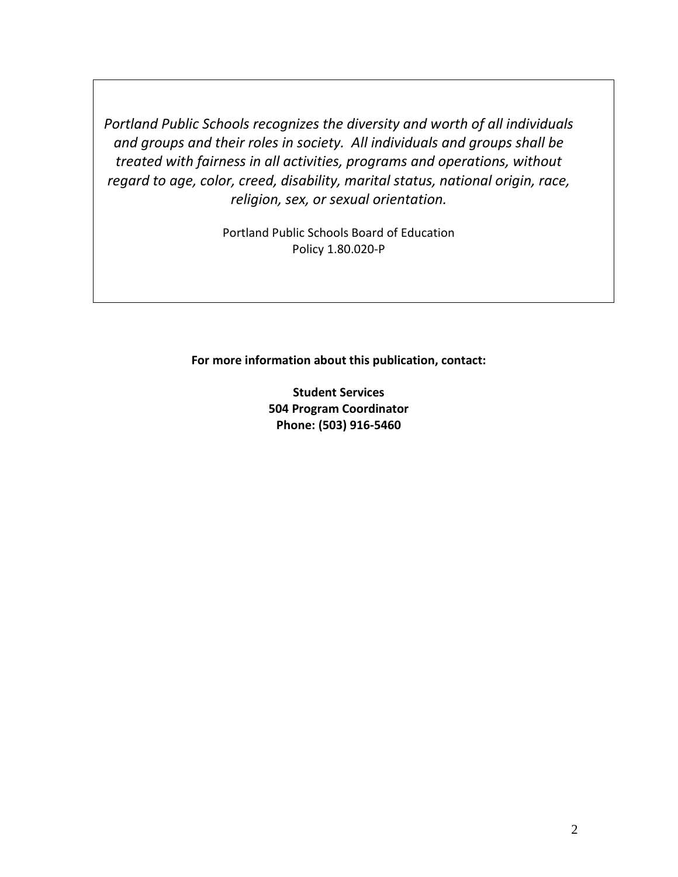*Portland Public Schools recognizes the diversity and worth of all individuals and groups and their roles in society. All individuals and groups shall be treated with fairness in all activities, programs and operations, without regard to age, color, creed, disability, marital status, national origin, race, religion, sex, or sexual orientation.*

> Portland Public Schools Board of Education Policy 1.80.020-P

**For more information about this publication, contact:**

**Student Services 504 Program Coordinator Phone: (503) 916-5460**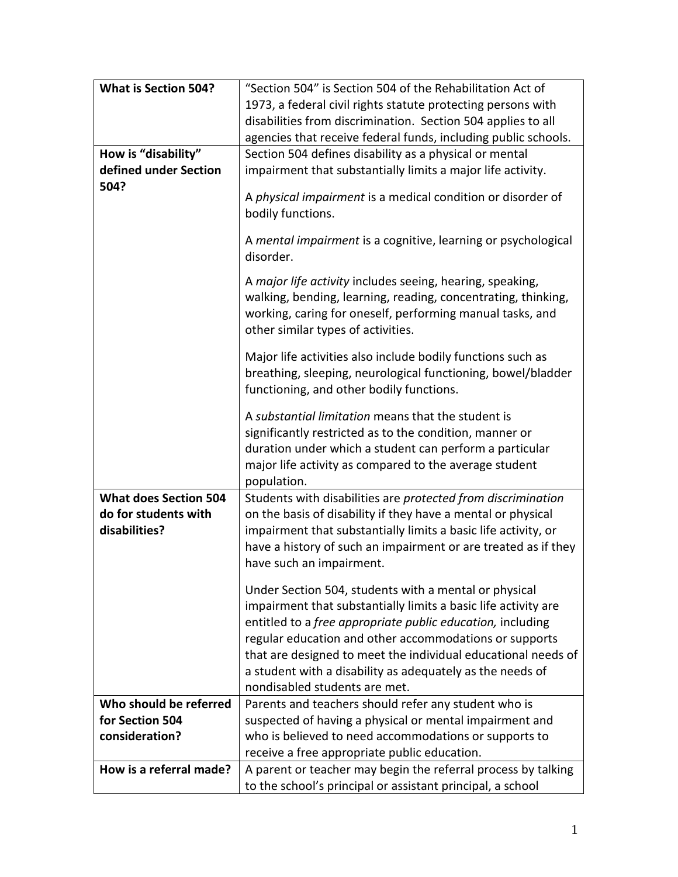| <b>What is Section 504?</b>  | "Section 504" is Section 504 of the Rehabilitation Act of                                                                                                                                                                                         |
|------------------------------|---------------------------------------------------------------------------------------------------------------------------------------------------------------------------------------------------------------------------------------------------|
|                              | 1973, a federal civil rights statute protecting persons with                                                                                                                                                                                      |
|                              | disabilities from discrimination. Section 504 applies to all                                                                                                                                                                                      |
|                              | agencies that receive federal funds, including public schools.                                                                                                                                                                                    |
| How is "disability"          | Section 504 defines disability as a physical or mental                                                                                                                                                                                            |
| defined under Section        | impairment that substantially limits a major life activity.                                                                                                                                                                                       |
| 504?                         |                                                                                                                                                                                                                                                   |
|                              | A physical impairment is a medical condition or disorder of<br>bodily functions.                                                                                                                                                                  |
|                              | A mental impairment is a cognitive, learning or psychological<br>disorder.                                                                                                                                                                        |
|                              | A major life activity includes seeing, hearing, speaking,<br>walking, bending, learning, reading, concentrating, thinking,<br>working, caring for oneself, performing manual tasks, and<br>other similar types of activities.                     |
|                              | Major life activities also include bodily functions such as<br>breathing, sleeping, neurological functioning, bowel/bladder<br>functioning, and other bodily functions.                                                                           |
|                              | A substantial limitation means that the student is<br>significantly restricted as to the condition, manner or<br>duration under which a student can perform a particular<br>major life activity as compared to the average student<br>population. |
| <b>What does Section 504</b> | Students with disabilities are protected from discrimination                                                                                                                                                                                      |
| do for students with         | on the basis of disability if they have a mental or physical                                                                                                                                                                                      |
| disabilities?                | impairment that substantially limits a basic life activity, or                                                                                                                                                                                    |
|                              | have a history of such an impairment or are treated as if they                                                                                                                                                                                    |
|                              | have such an impairment.                                                                                                                                                                                                                          |
|                              | Under Section 504, students with a mental or physical                                                                                                                                                                                             |
|                              | impairment that substantially limits a basic life activity are                                                                                                                                                                                    |
|                              | entitled to a free appropriate public education, including                                                                                                                                                                                        |
|                              | regular education and other accommodations or supports                                                                                                                                                                                            |
|                              | that are designed to meet the individual educational needs of                                                                                                                                                                                     |
|                              | a student with a disability as adequately as the needs of                                                                                                                                                                                         |
|                              | nondisabled students are met.                                                                                                                                                                                                                     |
| Who should be referred       | Parents and teachers should refer any student who is                                                                                                                                                                                              |
| for Section 504              | suspected of having a physical or mental impairment and                                                                                                                                                                                           |
| consideration?               | who is believed to need accommodations or supports to                                                                                                                                                                                             |
|                              | receive a free appropriate public education.                                                                                                                                                                                                      |
| How is a referral made?      | A parent or teacher may begin the referral process by talking                                                                                                                                                                                     |
|                              | to the school's principal or assistant principal, a school                                                                                                                                                                                        |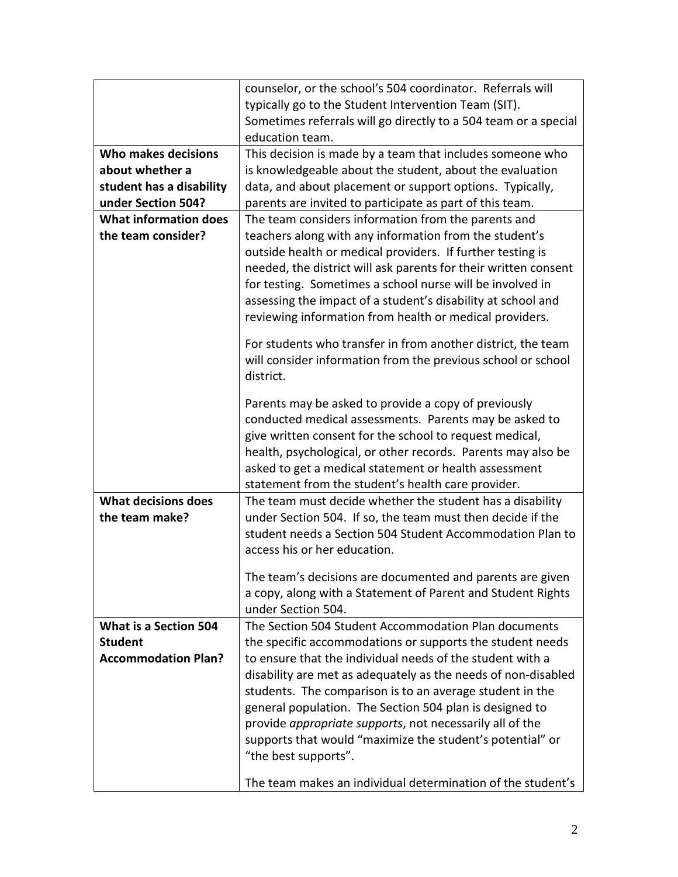|                              | counselor, or the school's 504 coordinator. Referrals will<br>typically go to the Student Intervention Team (SIT).<br>Sometimes referrals will go directly to a 504 team or a special<br>education team. |
|------------------------------|----------------------------------------------------------------------------------------------------------------------------------------------------------------------------------------------------------|
| Who makes decisions          | This decision is made by a team that includes someone who                                                                                                                                                |
| about whether a              | is knowledgeable about the student, about the evaluation                                                                                                                                                 |
|                              |                                                                                                                                                                                                          |
| student has a disability     | data, and about placement or support options. Typically,                                                                                                                                                 |
| under Section 504?           | parents are invited to participate as part of this team.                                                                                                                                                 |
| <b>What information does</b> | The team considers information from the parents and                                                                                                                                                      |
| the team consider?           | teachers along with any information from the student's                                                                                                                                                   |
|                              | outside health or medical providers. If further testing is                                                                                                                                               |
|                              | needed, the district will ask parents for their written consent                                                                                                                                          |
|                              | for testing. Sometimes a school nurse will be involved in                                                                                                                                                |
|                              | assessing the impact of a student's disability at school and                                                                                                                                             |
|                              | reviewing information from health or medical providers.                                                                                                                                                  |
|                              | For students who transfer in from another district, the team                                                                                                                                             |
|                              | will consider information from the previous school or school                                                                                                                                             |
|                              | district.                                                                                                                                                                                                |
|                              | Parents may be asked to provide a copy of previously                                                                                                                                                     |
|                              | conducted medical assessments. Parents may be asked to                                                                                                                                                   |
|                              | give written consent for the school to request medical,                                                                                                                                                  |
|                              | health, psychological, or other records. Parents may also be                                                                                                                                             |
|                              |                                                                                                                                                                                                          |
|                              | asked to get a medical statement or health assessment                                                                                                                                                    |
|                              | statement from the student's health care provider.                                                                                                                                                       |
| <b>What decisions does</b>   | The team must decide whether the student has a disability                                                                                                                                                |
| the team make?               | under Section 504. If so, the team must then decide if the                                                                                                                                               |
|                              | student needs a Section 504 Student Accommodation Plan to                                                                                                                                                |
|                              | access his or her education.                                                                                                                                                                             |
|                              | The team's decisions are documented and parents are given                                                                                                                                                |
|                              | a copy, along with a Statement of Parent and Student Rights                                                                                                                                              |
|                              | under Section 504.                                                                                                                                                                                       |
| <b>What is a Section 504</b> | The Section 504 Student Accommodation Plan documents                                                                                                                                                     |
| <b>Student</b>               | the specific accommodations or supports the student needs                                                                                                                                                |
|                              | to ensure that the individual needs of the student with a                                                                                                                                                |
| <b>Accommodation Plan?</b>   |                                                                                                                                                                                                          |
|                              | disability are met as adequately as the needs of non-disabled                                                                                                                                            |
|                              | students. The comparison is to an average student in the                                                                                                                                                 |
|                              | general population. The Section 504 plan is designed to                                                                                                                                                  |
|                              | provide <i>appropriate supports</i> , not necessarily all of the                                                                                                                                         |
|                              | supports that would "maximize the student's potential" or                                                                                                                                                |
|                              | "the best supports".                                                                                                                                                                                     |
|                              | The team makes an individual determination of the student's                                                                                                                                              |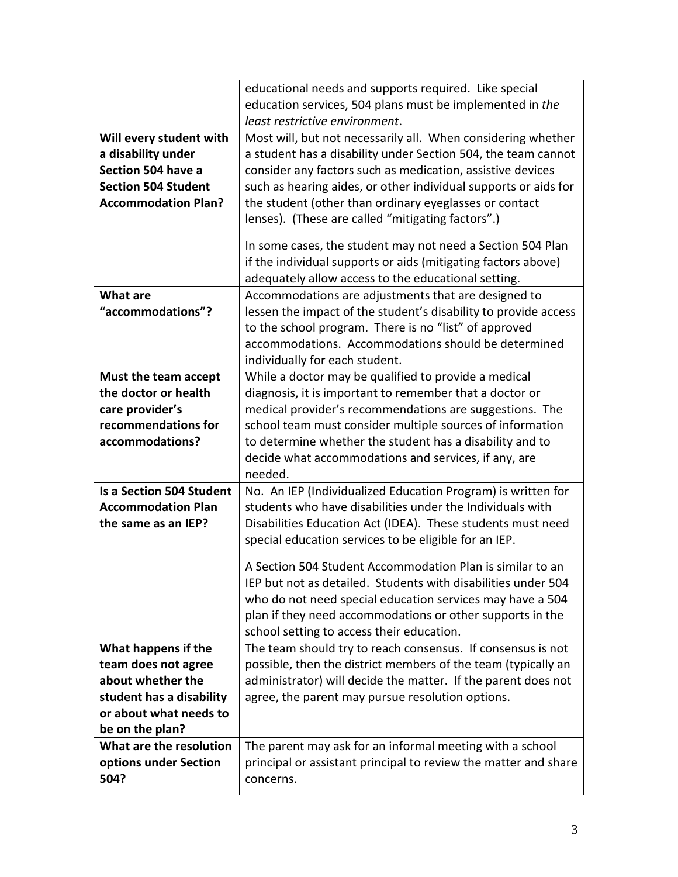|                                 | educational needs and supports required. Like special           |
|---------------------------------|-----------------------------------------------------------------|
|                                 | education services, 504 plans must be implemented in the        |
|                                 | least restrictive environment.                                  |
| Will every student with         | Most will, but not necessarily all. When considering whether    |
| a disability under              | a student has a disability under Section 504, the team cannot   |
| Section 504 have a              | consider any factors such as medication, assistive devices      |
| <b>Section 504 Student</b>      | such as hearing aides, or other individual supports or aids for |
| <b>Accommodation Plan?</b>      | the student (other than ordinary eyeglasses or contact          |
|                                 | lenses). (These are called "mitigating factors".)               |
|                                 |                                                                 |
|                                 | In some cases, the student may not need a Section 504 Plan      |
|                                 | if the individual supports or aids (mitigating factors above)   |
|                                 | adequately allow access to the educational setting.             |
| <b>What are</b>                 | Accommodations are adjustments that are designed to             |
| "accommodations"?               | lessen the impact of the student's disability to provide access |
|                                 | to the school program. There is no "list" of approved           |
|                                 | accommodations. Accommodations should be determined             |
|                                 | individually for each student.                                  |
| Must the team accept            | While a doctor may be qualified to provide a medical            |
| the doctor or health            | diagnosis, it is important to remember that a doctor or         |
| care provider's                 | medical provider's recommendations are suggestions. The         |
| recommendations for             | school team must consider multiple sources of information       |
| accommodations?                 | to determine whether the student has a disability and to        |
|                                 | decide what accommodations and services, if any, are            |
|                                 | needed.                                                         |
| <b>Is a Section 504 Student</b> | No. An IEP (Individualized Education Program) is written for    |
| <b>Accommodation Plan</b>       | students who have disabilities under the Individuals with       |
| the same as an IEP?             | Disabilities Education Act (IDEA). These students must need     |
|                                 | special education services to be eligible for an IEP.           |
|                                 | A Section 504 Student Accommodation Plan is similar to an       |
|                                 | IEP but not as detailed. Students with disabilities under 504   |
|                                 | who do not need special education services may have a 504       |
|                                 | plan if they need accommodations or other supports in the       |
|                                 | school setting to access their education.                       |
| What happens if the             | The team should try to reach consensus. If consensus is not     |
| team does not agree             | possible, then the district members of the team (typically an   |
| about whether the               | administrator) will decide the matter. If the parent does not   |
| student has a disability        | agree, the parent may pursue resolution options.                |
| or about what needs to          |                                                                 |
| be on the plan?                 |                                                                 |
| What are the resolution         | The parent may ask for an informal meeting with a school        |
| options under Section           | principal or assistant principal to review the matter and share |
| 504?                            | concerns.                                                       |
|                                 |                                                                 |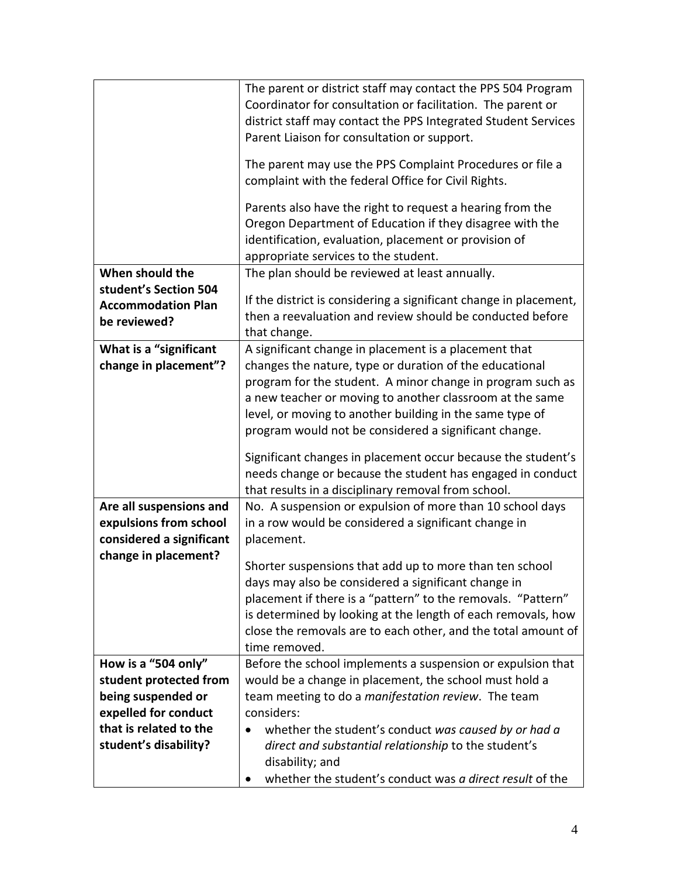|                           | The parent or district staff may contact the PPS 504 Program      |
|---------------------------|-------------------------------------------------------------------|
|                           | Coordinator for consultation or facilitation. The parent or       |
|                           | district staff may contact the PPS Integrated Student Services    |
|                           | Parent Liaison for consultation or support.                       |
|                           |                                                                   |
|                           | The parent may use the PPS Complaint Procedures or file a         |
|                           | complaint with the federal Office for Civil Rights.               |
|                           | Parents also have the right to request a hearing from the         |
|                           | Oregon Department of Education if they disagree with the          |
|                           | identification, evaluation, placement or provision of             |
|                           | appropriate services to the student.                              |
| When should the           | The plan should be reviewed at least annually.                    |
| student's Section 504     |                                                                   |
| <b>Accommodation Plan</b> | If the district is considering a significant change in placement, |
| be reviewed?              | then a reevaluation and review should be conducted before         |
|                           | that change.                                                      |
| What is a "significant    | A significant change in placement is a placement that             |
| change in placement"?     | changes the nature, type or duration of the educational           |
|                           | program for the student. A minor change in program such as        |
|                           | a new teacher or moving to another classroom at the same          |
|                           | level, or moving to another building in the same type of          |
|                           | program would not be considered a significant change.             |
|                           | Significant changes in placement occur because the student's      |
|                           | needs change or because the student has engaged in conduct        |
|                           | that results in a disciplinary removal from school.               |
| Are all suspensions and   | No. A suspension or expulsion of more than 10 school days         |
| expulsions from school    | in a row would be considered a significant change in              |
| considered a significant  | placement.                                                        |
| change in placement?      |                                                                   |
|                           | Shorter suspensions that add up to more than ten school           |
|                           | days may also be considered a significant change in               |
|                           | placement if there is a "pattern" to the removals. "Pattern"      |
|                           | is determined by looking at the length of each removals, how      |
|                           | close the removals are to each other, and the total amount of     |
|                           | time removed.                                                     |
| How is a "504 only"       | Before the school implements a suspension or expulsion that       |
| student protected from    | would be a change in placement, the school must hold a            |
| being suspended or        | team meeting to do a manifestation review. The team               |
| expelled for conduct      | considers:                                                        |
| that is related to the    | whether the student's conduct was caused by or had a<br>$\bullet$ |
| student's disability?     | direct and substantial relationship to the student's              |
|                           | disability; and                                                   |
|                           | whether the student's conduct was a direct result of the          |